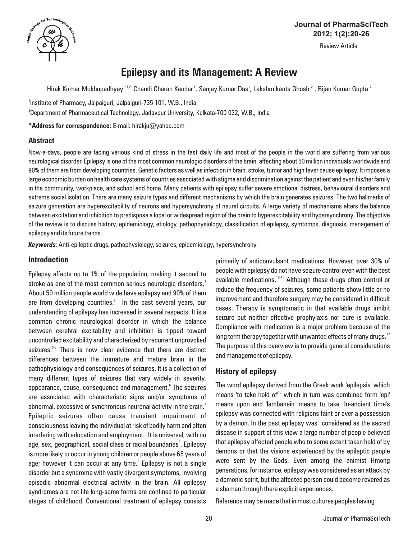

# **Journal of PharmaSciTech 2012; 1(2):20-26**

Review Article

# **Epilepsy and its Management: A Review**

Hirak Kumar Mukhopadhyay \*<sup>1,2,</sup> Chandi Charan Kandar <sup>1</sup>, Sanjay Kumar Das <sup>1</sup>, Lakshmikanta Ghosh <sup>2</sup> , Bijan Kumar Gupta <sup>2</sup>

<sup>1</sup>Institute of Pharmacy, Jalpaiguri, Jalpaiguri-735 101, W.B., India

2 Department of Pharmaceutical Technology, Jadavpur University, Kolkata-700 032, W.B., India

**\*Address for correspondence:** E-mail: hirakju@yahoo.com

### **Abstract**

Now-a-days, people are facing various kind of stress in the fast daily life and most of the people in the world are suffering from various neurological disorder. Epilepsy is one of the most common neurologic disorders of the brain, affecting about 50 million individuals worldwide and 90% of them are from developing countries. Genetic factors as well as infection in brain, stroke, tumor and high fever cause epilepsy. It imposes a large economic burden on health care systems of countries associated with stigma and discrimination against the patient and even his/her family in the community, workplace, and school and home. Many patients with epilepsy suffer severe emotional distress, behavioural disorders and extreme social isolation. There are many seizure types and different mechanisms by which the brain generates seizures. The two hallmarks of seizure generation are hyperexcitability of neurons and hypersynchrony of neural circuits. A large variety of mechanisms alters the balance between excitation and inhibition to predispose a local or widespread region of the brain to hyperexcitability and hypersynchrony. The objective of the review is to discuss history, epidemiology, etiology, pathophysiology, classification of epilepsy, symtomps, diagnosis, management of epilepsy and its future trends.

*Keywords:*Anti-epileptic drugs, pathophysiology, seizures, epidemiology, hypersynchrony

# **Introduction**

Epilepsy affects up to 1% of the population, making it second to stroke as one of the most common serious neurologic disorders.<sup>1</sup> About 50 million people world wide have epilepsy and 90% of them are from developing countries.<sup>2</sup> In the past several years, our understanding of epilepsy has increased in several respects. It is a common chronic neurological disorder in which the balance between cerebral excitability and inhibition is tipped toward uncontrolled excitability and characterized by recurrent unprovoked seizures.<sup>35</sup> There is now clear evidence that there are distinct differences between the immature and mature brain in the pathophysiology and consequences of seizures. It is a collection of many different types of seizures that vary widely in severity, appearance, cause, consequence and management.<sup>6</sup> The seizures are associated with characteristic signs and/or symptoms of abnormal, excessive or synchronous neuronal activity in the brain. $^{\prime}$ Epileptic seizures often cause transient impairment of consciousness leaving the individual at risk of bodily harm and often interfering with education and employment. It is universal, with no age, sex, geographical, social class or racial boundaries $^\circ$ . Epilepsy is more likely to occur in young children or people above 65 years of age; however it can occur at any time.<sup>9</sup> Epilepsy is not a single disorder but a syndrome with vastly divergent symptoms, involving episodic abnormal electrical activity in the brain. All epilepsy syndromes are not life long-some forms are confined to particular stages of childhood. Conventional treatment of epilepsy consists

primarily of anticonvulsant medications. However, over 30% of people with epilepsy do not have seizure control even with the best available medications. $10-11$  Although these drugs often control or reduce the frequency of seizures, some patients show little or no improvement and therefore surgery may be considered in difficult cases. Therapy is symptomatic in that available drugs inhibit seizure but neither effective prophylaxis nor cure is available. Compliance with medication is a major problem because of the long term therapy together with unwanted effects of many drugs. $12$ The purpose of this overview is to provide general considerations and management of epilepsy.

# **History of epilepsy**

The word epilepsy derived from the Greek work 'epilepsia' which means 'to take hold of<sup>13</sup> which in turn was combined form 'epi' means upon and 'lambanein' means to take. In-ancient time's epilepsy was connected with religions faint or ever a possession by a demon. In the past epilepsy was considered as the sacred disease in support of this view a large number of people believed that epilepsy affected people who to some extent taken hold of by demons or that the visions experienced by the epileptic people were sent by the Gods. Even among the animist Hmong generations, for instance, epilepsy was considered as an attack by a demonic spirit, but the affected person could become revered as a shaman through there explicit experiences.

Reference may be made that in most cultures peoples having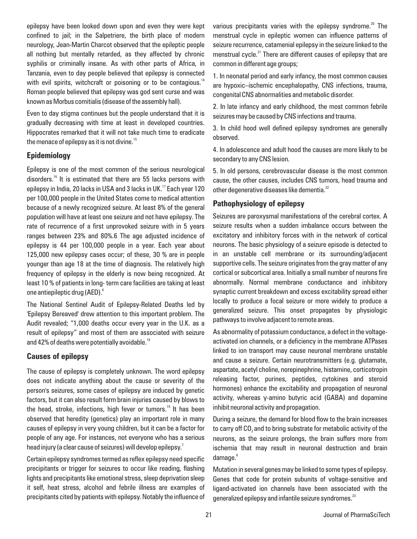epilepsy have been looked down upon and even they were kept confined to jail; in the Salpetriere, the birth place of modern neurology, Jean-Martin Charcot observed that the epileptic people all nothing but mentally retarded, as they affected by chronic syphilis or criminally insane. As with other parts of Africa, in Tanzania, even to day people believed that epilepsy is connected with evil spirits, witchcraft or poisoning or to be contagious.<sup>14</sup> Roman people believed that epilepsy was god sent curse and was known as Morbus comitialis (disease of the assembly hall).

Even to day stigma continues but the people understand that it is gradually decreasing with time at least in developed countries. Hippocrates remarked that it will not take much time to eradicate the menace of epilepsy as it is not divine. $15$ 

# **Epidemiology**

Epilepsy is one of the most common of the serious neurological disorders.<sup>16</sup> It is estimated that there are 55 lacks persons with epilepsy in India, 20 lacks in USA and 3 lacks in UK. $17$  Each year 120 per 100,000 people in the United States come to medical attention because of a newly recognized seizure. At least 8% of the general population will have at least one seizure and not have epilepsy. The rate of recurrence of a first unprovoked seizure with in 5 years ranges between 23% and 80%.6 The age adjusted incidence of epilepsy is 44 per 100,000 people in a year. Each year about 125,000 new epilepsy cases occur; of these, 30 % are in people younger than age 18 at the time of diagnosis. The relatively high frequency of epilepsy in the elderly is now being recognized. At least 10 % of patients in long- term care facilities are taking at least 6 one antiepileptic drug (AED).

The National Sentinel Audit of Epilepsy-Related Deaths led by 'Epilepsy Bereaved' drew attention to this important problem. The Audit revealed; "1,000 deaths occur every year in the U.K. as a result of epilepsy" and most of them are associated with seizure and 42% of deaths were potentially avoidable.<sup>18</sup>

### **Causes of epilepsy**

The cause of epilepsy is completely unknown. The word epilepsy does not indicate anything about the cause or severity of the person's seizures, some cases of epilepsy are induced by genetic factors, but it can also result form brain injuries caused by blows to the head, stroke, infections, high fever or tumors.<sup>19</sup> It has been observed that heredity (genetics) play an important role in many causes of epilepsy in very young children, but it can be a factor for people of any age. For instances, not everyone who has a serious head injury (a clear cause of seizures) will develop epilepsy. $^{7}$ 

Certain epilepsy syndromes termed as reflex epilepsy need specific precipitants or trigger for seizures to occur like reading, flashing lights and precipitants like emotional stress, sleep deprivation sleep it self, heat stress, alcohol and febrile illness are examples of precipitants cited by patients with epilepsy. Notably the influence of various precipitants varies with the epilepsy syndrome.<sup>20</sup> The menstrual cycle in epileptic women can influence patterns of seizure recurrence, catamenial epilepsy in the seizure linked to the menstrual cycle.<sup>21</sup> There are different causes of epilepsy that are common in different age groups;

1. In neonatal period and early infancy, the most common causes are hypoxic–ischemic encephalopathy, CNS infections, trauma, congenital CNS abnormalities and metabolic disorder.

2. In late infancy and early childhood, the most common febrile seizures may be caused by CNS infections and trauma.

3. In child hood well defined epilepsy syndromes are generally observed.

4. In adolescence and adult hood the causes are more likely to be secondary to any CNS lesion.

5. In old persons, cerebrovascular disease is the most common cause, the other causes, includes CNS tumors, head trauma and other degenerative diseases like dementia.<sup>22</sup>

# **Pathophysiology of epilepsy**

Seizures are paroxysmal manifestations of the cerebral cortex. A seizure results when a sudden imbalance occurs between the excitatory and inhibitory forces with in the network of cortical neurons. The basic physiology of a seizure episode is detected to in an unstable cell membrane or its surrounding/adjacent supportive cells. The seizure originates from the gray matter of any cortical or subcortical area. Initially a small number of neurons fire abnormally. Normal membrane conductance and inhibitory synaptic current breakdown and excess excitability spread either locally to produce a focal seizure or more widely to produce a generalized seizure. This onset propagates by physiologic pathways to involve adjacent to remote areas.

As abnormality of potassium conductance, a defect in the voltageactivated ion channels, or a deficiency in the membrane ATPases linked to ion transport may cause neuronal membrane unstable and cause a seizure. Certain neurotransmitters (e.g. glutamate, aspartate, acetyl choline, norepinephrine, histamine, corticotropin releasing factor, purines, peptides, cytokines and steroid hormones) enhance the excitability and propagation of neuronal activity, whereas  $y$ -amino butyric acid (GABA) and dopamine inhibit neuronal activity and propagation.

During a seizure, the demand for blood flow to the brain increases to carry off CO<sub>2</sub> and to bring substrate for metabolic activity of the neurons, as the seizure prolongs, the brain suffers more from ischemia that may result in neuronal destruction and brain 6 damage.

Mutation in several genes may be linked to some types of epilepsy. Genes that code for protein subunits of voltage-sensitive and ligand-activated ion channels have been associated with the generalized epilepsy and infantile seizure syndromes.<sup>23</sup>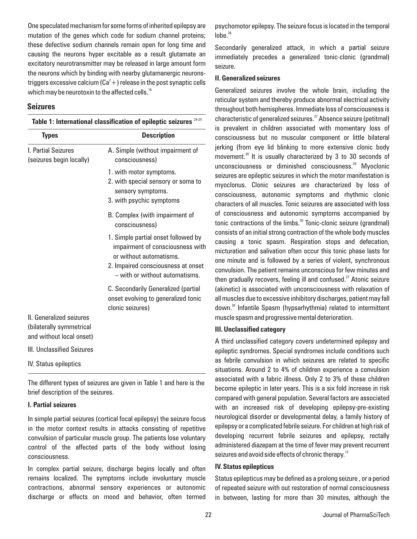One speculated mechanism for some forms of inherited epilepsy are mutation of the genes which code for sodium channel proteins; these defective sodium channels remain open for long time and causing the neurons hyper excitable as a result glutamate an excitatory neurotransmitter may be released in large amount form the neurons which by binding with nearby glutamanergic neuronstriggers excessive calcium (Ca $^2+$  ) release in the post synaptic cells which may be neurotoxin to the affected cells.<sup>16</sup>

#### **Seizures**

| <b>Types</b>                                                                     | <b>Description</b>                                                                                                                                                         |  |  |  |  |
|----------------------------------------------------------------------------------|----------------------------------------------------------------------------------------------------------------------------------------------------------------------------|--|--|--|--|
| I. Partial Seizures<br>(seizures begin locally)                                  | A. Simple (without impairment of<br>consciousness)                                                                                                                         |  |  |  |  |
|                                                                                  | 1. with motor symptoms.<br>2. with special sensory or soma to<br>sensory symptoms.<br>3. with psychic symptoms                                                             |  |  |  |  |
|                                                                                  | B. Complex (with impairment of<br>consciousness)                                                                                                                           |  |  |  |  |
|                                                                                  | 1. Simple partial onset followed by<br>impairment of consciousness with<br>or without automatisms.<br>2. Impaired consciousness at onset<br>- with or without automatisms. |  |  |  |  |
|                                                                                  | C. Secondarily Generalized (partial<br>onset evolving to generalized tonic<br>clonic seizures)                                                                             |  |  |  |  |
| II. Generalized seizures<br>(bilaterally symmetrical<br>and without local onset) |                                                                                                                                                                            |  |  |  |  |
| III. Unclassified Seizures                                                       |                                                                                                                                                                            |  |  |  |  |
| <b>IV.</b> Status epileptics                                                     |                                                                                                                                                                            |  |  |  |  |

The different types of seizures are given in Table 1 and here is the brief description of the seizures.

#### **I. Partial seizures**

In simple partial seizures (cortical focal epilepsy) the seizure focus in the motor context results in attacks consisting of repetitive convulsion of particular muscle group. The patients lose voluntary control of the affected parts of the body without losing consciousness.

In complex partial seizure, discharge begins locally and often remains localized. The symptoms include involuntary muscle contractions, abnormal sensory experiences or autonomic discharge or effects on mood and behavior, often termed

psychomotor epilepsy. The seizure focus is located in the temporal  $lnhe<sup>26</sup>$ 

Secondarily generalized attack, in which a partial seizure immediately precedes a generalized tonic-clonic (grandmal) seizure.

#### **II. Generalized seizures**

Generalized seizures involve the whole brain, including the reticular system and thereby produce abnormal electrical activity throughout both hemispheres. Immediate loss of consciousness is characteristic of generalized seizures.<sup>27</sup> Absence seizure (petitmal) is prevalent in children associated with momentary loss of consciousness but no muscular component or little bilateral jerking (from eye lid blinking to more extensive clonic body movement. $^{28}$  It is usually characterized by 3 to 30 seconds of unconsciousness or diminished consciousness.<sup>29</sup> Myoclonic seizures are epileptic seizures in which the motor manifestation is myoclonus. Clonic seizures are characterized by loss of consciousness, autonomic symptoms and rhythmic clonic characters of all muscles. Tonic seizures are associated with loss of consciousness and autonomic symptoms accompanied by tonic contractions of the limbs. $30$  Tonic-clonic seizure (grandmal) consists of an initial strong contraction of the whole body muscles causing a tonic spasm. Respiration stops and defecation, micturation and salivation often occur this tonic phase lasts for one minute and is followed by a series of violent, synchronous convulsion. The patient remains unconscious for few minutes and then gradually recovers, feeling ill and confused. $27$  Atonic seizure (akinetic) is associated with unconsciousness with relaxation of all muscles due to excessive inhibitory discharges, patient may fall down.<sup>30</sup> Infantile Spasm (hypsarhythmia) related to intermittent muscle spasm and progressive mental deterioration.

#### **III. Unclassified category**

A third unclassified category covers undetermined epilepsy and epileptic syndromes. Special syndromes include conditions such as febrile convulsion in which seizures are related to specific situations. Around 2 to 4% of children experience a convulsion associated with a fabric illness. Only 2 to 3% of these children become epileptic in later years. This is a six fold increase in risk compared with general population. Several factors are associated with an increased risk of developing epilepsy-pre-existing neurological disorder or developmental delay, a family history of epilepsy or a complicated febrile seizure. For children at high risk of developing recurrent febrile seizures and epilepsy, rectally administered diazepam at the time of fever may prevent recurrent seizures and avoid side effects of chronic therapy.<sup>12</sup>

#### **IV. Status epilepticus**

Status epilepticus may be defined as a prolong seizure , or a period of repeated seizure with out restoration of normal consciousness in between, lasting for more than 30 minutes, although the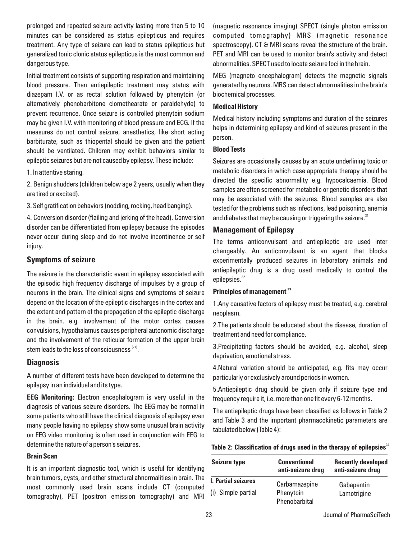prolonged and repeated seizure activity lasting more than 5 to 10 minutes can be considered as status epilepticus and requires treatment. Any type of seizure can lead to status epilepticus but generalized tonic clonic status epilepticus is the most common and dangerous type.

Initial treatment consists of supporting respiration and maintaining blood pressure. Then antiepileptic treatment may status with diazepam I.V. or as rectal solution followed by phenytoin (or alternatively phenobarbitone clomethearate or paraldehyde) to prevent recurrence. Once seizure is controlled phenytoin sodium may be given I.V. with monitoring of blood pressure and ECG. If the measures do not control seizure, anesthetics, like short acting barbiturate, such as thiopental should be given and the patient should be ventilated. Children may exhibit behaviors similar to epileptic seizures but are not caused by epilepsy. These include:

1. In attentive staring.

2. Benign shudders (children below age 2 years, usually when they are tired or excited).

3. Self gratification behaviors (nodding, rocking, head banging).

4. Conversion disorder (flailing and jerking of the head). Conversion disorder can be differentiated from epilepsy because the episodes never occur during sleep and do not involve incontinence or self injury.

### **Symptoms of seizure**

The seizure is the characteristic event in epilepsy associated with the episodic high frequency discharge of impulses by a group of neurons in the brain. The clinical signs and symptoms of seizure depend on the location of the epileptic discharges in the cortex and the extent and pattern of the propagation of the epileptic discharge in the brain. e.g. involvement of the motor cortex causes convulsions, hypothalamus causes peripheral autonomic discharge and the involvement of the reticular formation of the upper brain stem leads to the loss of consciousness  $^{(27)}$ .

# **Diagnosis**

A number of different tests have been developed to determine the epilepsy in an individual and its type.

**EEG Monitoring:** Electron encephalogram is very useful in the diagnosis of various seizure disorders. The EEG may be normal in some patients who still have the clinical diagnosis of epilepsy even many people having no epilepsy show some unusual brain activity on EEG video monitoring is often used in conjunction with EEG to determine the nature of a person's seizures.

#### **Brain Scan**

It is an important diagnostic tool, which is useful for identifying brain tumors, cysts, and other structural abnormalities in brain. The most commonly used brain scans include CT (computed tomography), PET (positron emission tomography) and MRI (magnetic resonance imaging) SPECT (single photon emission computed tomography) MRS (magnetic resonance spectroscopy). CT & MRI scans reveal the structure of the brain. PET and MRI can be used to monitor brain's activity and detect abnormalities. SPECT used to locate seizure foci in the brain.

MEG (magneto encephalogram) detects the magnetic signals generated by neurons. MRS can detect abnormalities in the brain's biochemical processes.

### **Medical History**

Medical history including symptoms and duration of the seizures helps in determining epilepsy and kind of seizures present in the person.

#### **Blood Tests**

Seizures are occasionally causes by an acute underlining toxic or metabolic disorders in which case appropriate therapy should be directed the specific abnormality e.g. hypocalcaemia. Blood samples are often screened for metabolic or genetic disorders that may be associated with the seizures. Blood samples are also tested for the problems such as infections, lead poisoning, anemia and diabetes that may be causing or triggering the seizure.<sup>31</sup>

### **Management of Epilepsy**

The terms anticonvulsant and antiepileptic are used inter changeably. An anticonvulsant is an agent that blocks experimentally produced seizures in laboratory animals and antiepileptic drug is a drug used medically to control the epilepsies.<sup>32</sup>

#### **<sup>33</sup> Principles of management**

1.Any causative factors of epilepsy must be treated, e.g. cerebral neoplasm.

2.The patients should be educated about the disease, duration of treatment and need for compliance.

3.Precipitating factors should be avoided, e.g. alcohol, sleep deprivation, emotional stress.

4.Natural variation should be anticipated, e.g. fits may occur particularly or exclusively around periods in women.

5.Antiepileptic drug should be given only if seizure type and frequency require it, i.e. more than one fit every 6-12 months.

The antiepileptic drugs have been classified as follows in Table 2 and Table 3 and the important pharmacokinetic parameters are tabulated below (Table 4):

Table 2: Classification of drugs used in the therapy of epilepsies<sup>34</sup>

| Gabapentin                                  |  |  |
|---------------------------------------------|--|--|
| Lamotrigine                                 |  |  |
| Carbamazepine<br>Phenytoin<br>Phenobarbital |  |  |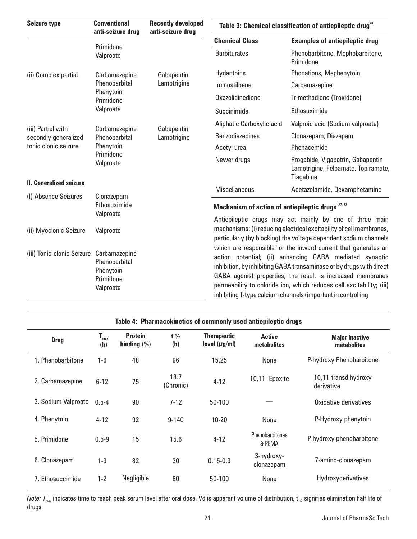| <b>Seizure type</b>                                                | <b>Conventional</b><br>anti-seizure drug<br>Primidone<br>Valproate    | <b>Recently developed</b><br>anti-seizure drug | Table 3: Chemical classification of antiepileptic drug <sup>28</sup>                                                                                                                                                                                                                                                                                                                                                                                                                                                                                                                                         |                                                                                       |  |  |
|--------------------------------------------------------------------|-----------------------------------------------------------------------|------------------------------------------------|--------------------------------------------------------------------------------------------------------------------------------------------------------------------------------------------------------------------------------------------------------------------------------------------------------------------------------------------------------------------------------------------------------------------------------------------------------------------------------------------------------------------------------------------------------------------------------------------------------------|---------------------------------------------------------------------------------------|--|--|
|                                                                    |                                                                       |                                                | <b>Chemical Class</b>                                                                                                                                                                                                                                                                                                                                                                                                                                                                                                                                                                                        | <b>Examples of antiepileptic drug</b>                                                 |  |  |
|                                                                    |                                                                       |                                                | <b>Barbiturates</b>                                                                                                                                                                                                                                                                                                                                                                                                                                                                                                                                                                                          | Phenobarbitone, Mephobarbitone,<br>Primidone                                          |  |  |
| (ii) Complex partial                                               | Carbamazepine<br>Phenobarbital<br>Phenytoin<br>Primidone<br>Valproate | Gabapentin<br>Lamotrigine                      | <b>Hydantoins</b>                                                                                                                                                                                                                                                                                                                                                                                                                                                                                                                                                                                            | Phonations, Mephenytoin                                                               |  |  |
|                                                                    |                                                                       |                                                | Iminostilbene                                                                                                                                                                                                                                                                                                                                                                                                                                                                                                                                                                                                | Carbamazepine                                                                         |  |  |
|                                                                    |                                                                       |                                                | Oxazolidinedione                                                                                                                                                                                                                                                                                                                                                                                                                                                                                                                                                                                             | Trimethadione (Troxidone)                                                             |  |  |
|                                                                    |                                                                       |                                                | Succinimide                                                                                                                                                                                                                                                                                                                                                                                                                                                                                                                                                                                                  | Ethosuximide                                                                          |  |  |
| (iii) Partial with<br>secondly generalized<br>tonic clonic seizure | Carbamazepine<br>Phenobarbital<br>Phenytoin                           | Gabapentin<br>Lamotrigine                      | Aliphatic Carboxylic acid                                                                                                                                                                                                                                                                                                                                                                                                                                                                                                                                                                                    | Valproic acid (Sodium valproate)                                                      |  |  |
|                                                                    |                                                                       |                                                | <b>Benzodiazepines</b>                                                                                                                                                                                                                                                                                                                                                                                                                                                                                                                                                                                       | Clonazepam, Diazepam                                                                  |  |  |
|                                                                    |                                                                       |                                                | Acetyl urea                                                                                                                                                                                                                                                                                                                                                                                                                                                                                                                                                                                                  | Phenacemide                                                                           |  |  |
|                                                                    | Primidone<br>Valproate                                                |                                                | Newer drugs                                                                                                                                                                                                                                                                                                                                                                                                                                                                                                                                                                                                  | Progabide, Vigabatrin, Gabapentin<br>Lamotrigine, Felbamate, Topiramate,<br>Tiagabine |  |  |
| II. Generalized seizure                                            |                                                                       |                                                | <b>Miscellaneous</b>                                                                                                                                                                                                                                                                                                                                                                                                                                                                                                                                                                                         | Acetazolamide, Dexamphetamine                                                         |  |  |
| (I) Absence Seizures                                               | Clonazepam<br>Ethosuximide<br>Valproate                               |                                                | Mechanism of action of antiepileptic drugs $27,33$                                                                                                                                                                                                                                                                                                                                                                                                                                                                                                                                                           |                                                                                       |  |  |
| (ii) Myoclonic Seizure                                             | Valproate                                                             |                                                | Antiepileptic drugs may act mainly by one of three main<br>mechanisms: (i) reducing electrical excitability of cell membranes,<br>particularly (by blocking) the voltage dependent sodium channels<br>which are responsible for the inward current that generates an<br>action potential; (ii) enhancing GABA mediated synaptic<br>inhibition, by inhibiting GABA transaminase or by drugs with direct<br>GABA agonist properties; the result is increased membranes<br>permeability to chloride ion, which reduces cell excitability; (iii)<br>inhibiting T-type calcium channels (important in controlling |                                                                                       |  |  |
| (iii) Tonic-clonic Seizure                                         | Carbamazepine<br>Phenobarbital<br>Phenytoin<br>Primidone<br>Valproate |                                                |                                                                                                                                                                                                                                                                                                                                                                                                                                                                                                                                                                                                              |                                                                                       |  |  |

| Table 4: Pharmacokinetics of commonly used antiepileptic drugs |                      |                                  |                       |                                          |                                  |                                      |  |  |
|----------------------------------------------------------------|----------------------|----------------------------------|-----------------------|------------------------------------------|----------------------------------|--------------------------------------|--|--|
| <b>Drug</b>                                                    | $T_{\rm max}$<br>(h) | <b>Protein</b><br>binding $(\%)$ | $t\frac{1}{2}$<br>(h) | <b>Therapeutic</b><br>level $(\mu g/ml)$ | <b>Active</b><br>metabolites     | <b>Major inactive</b><br>metabolites |  |  |
| 1. Phenobarbitone                                              | $1-6$                | 48                               | 96                    | 15.25                                    | None                             | P-hydroxy Phenobarbitone             |  |  |
| 2. Carbamazepine                                               | $6 - 12$             | 75                               | 18.7<br>(Chronic)     | $4 - 12$                                 | 10,11- Epoxite                   | 10,11-transdihydroxy<br>derivative   |  |  |
| 3. Sodium Valproate                                            | $0.5 - 4$            | 90                               | $7 - 12$              | 50-100                                   |                                  | Oxidative derivatives                |  |  |
| 4. Phenytoin                                                   | $4 - 12$             | 92                               | $9 - 140$             | $10 - 20$                                | None                             | P-Hydroxy phenytoin                  |  |  |
| 5. Primidone                                                   | $0.5 - 9$            | 15                               | 15.6                  | $4 - 12$                                 | <b>Phenobarbitones</b><br>& PEMA | P-hydroxy phenobarbitone             |  |  |
| 6. Clonazepam                                                  | $1 - 3$              | 82                               | 30                    | $0.15 - 0.3$                             | 3-hydroxy-<br>clonazepam         | 7-amino-clonazepam                   |  |  |
| 7. Ethosuccimide                                               | $1 - 2$              | Negligible                       | 60                    | 50-100                                   | None                             | Hydroxyderivatives                   |  |  |

*Note: T<sub>max</sub>* indicates time to reach peak serum level after oral dose, Vd is apparent volume of distribution, t<sub>1/2</sub> signifies elimination half life of drugs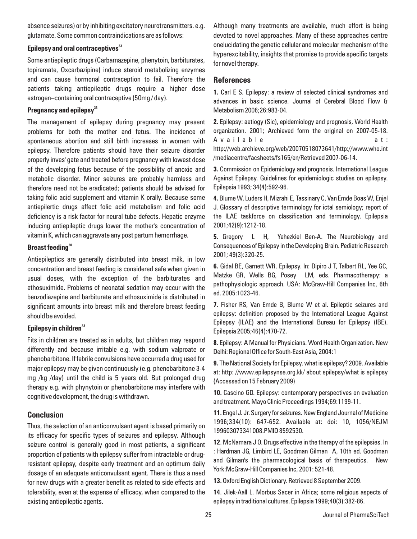absence seizures) or by inhibiting excitatory neurotransmitters. e.g. glutamate. Some common contraindications are as follows:

### **<sup>33</sup> Epilepsy and oral contraceptives**

Some antiepileptic drugs (Carbamazepine, phenytoin, barbiturates, topiramate, Oxcarbazipine) induce steroid metabolizing enzymes and can cause hormonal contraception to fail. Therefore the patients taking antiepileptic drugs require a higher dose estrogen–containing oral contraceptive (50mg / day).

### **<sup>33</sup> Pregnancy and epilepsy**

The management of epilepsy during pregnancy may present problems for both the mother and fetus. The incidence of spontaneous abortion and still birth increases in women with epilepsy. Therefore patients should have their seizure disorder properly inves' gate and treated before pregnancy with lowest dose of the developing fetus because of the possibility of anoxio and metabolic disorder. Minor seizures are probably harmless and therefore need not be eradicated; patients should be advised for taking folic acid supplement and vitamin K orally. Because some antiepilertic drugs affect folic acid metabolism and folic acid deficiency is a risk factor for neural tube defects. Hepatic enzyme inducing antiepileptic drugs lower the mother's concentration of vitamin K, which can aggravate any post partum hemorrhage.

### **<sup>30</sup> Breast feeding**

Antiepileptics are generally distributed into breast milk, in low concentration and breast feeding is considered safe when given in usual doses, with the exception of the barbiturates and ethosuximide. Problems of neonatal sedation may occur with the benzodiazepine and barbiturate and ethosuximide is distributed in significant amounts into breast milk and therefore breast feeding should be avoided.

### **<sup>33</sup> Epilepsy in children**

Fits in children are treated as in adults, but children may respond differently and because irritable e.g. with sodium valproate or phenobarbitone. If febrile convulsions have occurred a drug used for major epilepsy may be given continuously (e.g. phenobarbitone 3-4 mg /kg /day) until the child is 5 years old. But prolonged drug therapy e.g. with phynytoin or phenobarbitone may interfere with cognitive development, the drug is withdrawn.

# **Conclusion**

Thus, the selection of an anticonvulsant agent is based primarily on its efficacy for specific types of seizures and epilepsy. Although seizure control is generally good in most patients, a significant proportion of patients with epilepsy suffer from intractable or drugresistant epilepsy, despite early treatment and an optimum daily dosage of an adequate anticonvulsant agent. There is thus a need for new drugs with a greater benefit as related to side effects and tolerability, even at the expense of efficacy, when compared to the existing antiepileptic agents.

Although many treatments are available, much effort is being devoted to novel approaches. Many of these approaches centre onelucidating the genetic cellular and molecular mechanism of the hyperexcitability, insights that promise to provide specific targets for novel therapy.

# **References**

**1.** Carl E S. Epilepsy: a review of selected clinical syndromes and advances in basic science. Journal of Cerebral Blood Flow & Metabolism 2006;26:983-04.

**2.** Epilepsy: aetiogy (Sic), epidemiology and prognosis, World Health organization. 2001; Archieved form the original on 2007-05-18. A v a i l a b l e a t : http://web.archieve.org/web/20070518073641/http://www.who.int /mediacentre/facsheets/fs165/en/Retrieved 2007-06-14.

**3.** Commission on Epidemiology and prognosis. International League Against Epilepsy. Guidelines for epidemiologic studies on epilepsy. Epilepsia 1993; 34(4):592-96.

**4.**Blume W, Luders H, Mizrahi E, Tassinary C, Van Emde Boas W, Enjel J. Glossary of descriptive terminology for ictal semiology; report of the ILAE taskforce on classification and terminology. Epilepsia 2001;42(9):1212-18.

**5.** Gregory L H, Yehezkiel Ben-A. The Neurobiology and Consequences of Epilepsy in the Developing Brain. Pediatric Research 2001; 49(3):320-25.

**6.** Gidal BE, Garnett WR. Epilepsy. In: Dipiro J T, Talbert RL, Yee GC, Matzke GR, Wells BG, Posey LM, eds. Pharmacotherapy: a pathophysiologic approach. USA: McGraw-Hill Companies Inc, 6th ed. 2005:1023-46.

**7.** Fisher RS, Van Emde B, Blume W et al. Epileptic seizures and epilepsy: definition proposed by the International League Against Epilepsy (ILAE) and the International Bureau for Epilepsy (IBE). Epilepsia 2005;46(4):470-72.

**8**. Epilepsy: A Manual for Physicians. Word Health Organization. New Delhi: Regional Office for South-East Asia, 2004:1

**9.** The National Society for Epilepsy. what is epilepsy? 2009. Available at: http: //www.epilepsynse.org.kk/ about epilepsy/what is epilepsy (Accessed on 15 February 2009)

**10.** Cascino GD. Epilepsy: contemporary perspectives on evaluation and treatment. Mayo Clinic Proceedings 1994;69:1199-11.

**11.** Engel J. Jr. Surgery for seizures. New England Journal of Medicine 1996;334(10): 647-652. Available at: doi: 10, 1056/NEJM 199603073341008.PMID 8592530.

**12**. McNamara J O. Drugs effective in the therapy of the epilepsies. In : Hardman JG, Limbird LE, Goodman Gilman A, 10th ed. Goodman and Gilman's the pharmacological basis of therapeutics. New York:McGraw-Hill Companies Inc, 2001: 521-48.

**13.** Oxford English Dictionary. Retrieved 8 September 2009.

**14**. Jilek-Aall L. Morbus Sacer in Africa; some religious aspects of epilepsy in traditional cultures. Epilepsia 1999;40(3):382-86.